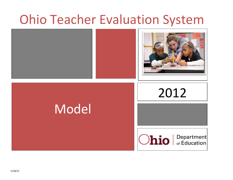# Ohio Teacher Evaluation System

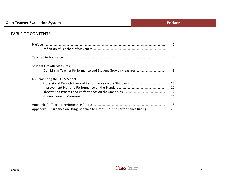# TABLE OF CONTENTS

|                                                                               | $\overline{2}$ |
|-------------------------------------------------------------------------------|----------------|
|                                                                               | 3              |
|                                                                               | 4              |
|                                                                               | 5              |
|                                                                               | 8              |
| Implementing the OTES Model                                                   |                |
|                                                                               | 10             |
|                                                                               | 11             |
|                                                                               | 12             |
|                                                                               | 14             |
|                                                                               | 15             |
| Appendix B: Guidance on Using Evidence to Inform Holistic Performance Ratings | 21             |

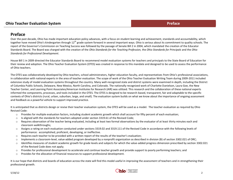# **Preface**

Over the past decade, Ohio has made important education policy advances, with a focus on student learning and achievement, standards and accountability, which together have moved Ohio's kindergarten through 12<sup>th</sup> grade system forward in several important ways. Ohio is serious about its commitment to quality schools. The report of the Governor's Commission on Teaching Success was followed by the passage of Senate Bill 2 in 2004, which mandated the creation of the Educator Standards Board. The Board was charged with the creation of the *Ohio Standards for the Teaching Profession,* the *Ohio Standards for Principals* and the *Ohio Standards for Professional Development*.

House Bill 1 in 2009 directed the Educator Standards Board to recommend model evaluation systems for teachers and principals to the State Board of Education for their review and adoption. The Ohio Teacher Evaluation System (OTES) was created in response to this mandate and designed to be used to assess the performance of Ohio teachers.

The OTES was collaboratively developed by Ohio teachers, school administrators, higher education faculty, and representatives from Ohio's professional associations, in collaboration with national experts in the area of teacher evaluation. The scope of work of the Ohio Teacher Evaluation Writing Team during 2009-2011 included extensive study of model evaluation systems throughout the country. Many well-recognized state and district systems were examined in depth, including the District of Columbia Public Schools, Delaware, New Mexico, North Carolina, and Colorado. The nationally recognized work of Charlotte Danielson, Laura Goe, the New Teacher Center, and Learning Point Associates/American Institutes for Research (AIR) was utilized. This research and the collaboration of these national experts informed the components, processes, and tools included in the OTES. The OTES is designed to be research-based, transparent, fair and adaptable to the specific contexts of Ohio's districts (rural, urban, suburban, large, and small). The evaluation system builds on what we know about the importance of ongoing assessment and feedback as a powerful vehicle to support improved practice.

It is anticipated that as districts design or revise their teacher evaluation system, the OTES will be used as a model. The teacher evaluation as required by Ohio Revised Code:

- o Provides for multiple evaluation factors, including student academic growth which shall account for fifty percent of each evaluation;
- $\circ$  Is aligned with the standards for teachers adopted under section 3319.61 of the Revised Code;
- $\circ$  Requires observation of the teacher being evaluated, including at least two formal observations by the evaluator of at least thirty minutes each and classroom walkthroughs;
- o Assigns a rating on each evaluation conducted under sections 3319.02 and 3319.111 of the Revised Code in accordance with the following levels of performance: accomplished, proficient, developing, or ineffective.
- o Requires each teacher to be provided with a written report of the results of the teacher's evaluation;
- o Implements a classroom-level, value-added program developed by a nonprofit organization as described in division (B) of section 3302.021 of ORC;
- $\circ$  Identifies measures of student academic growth for grade levels and subjects for which the value-added progress dimension prescribed by section 3302.021 of the Revised Code does not apply;
- o Provides for professional development to accelerate and continue teacher growth and provide support to poorly performing teachers; and
- o Provides for the allocation of financial resources to support professional development.

It is our hope that districts and boards of education across the state will find this model useful in improving the assessment of teachers and in strengthening their professional growth.

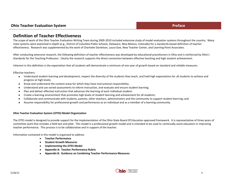# **Definition of Teacher Effectiveness**

The scope of work of the Ohio Teacher Evaluation Writing Team during 2009-2010 included extensive study of model evaluation systems throughout the country. Many state systems were examined in depth (e.g., District of Columbia Public Schools, Delaware, New Mexico, Colorado) for a standards-based definition of teacher effectiveness. Research was supplemented by the work of Charlotte Danielson, Laura Goe, New Teacher Center, and Learning Point Associates.

After conducting extensive research, the following definition of teacher effectiveness was developed by educational practitioners in Ohio and is reinforced by Ohio's Standards for the Teaching Profession. Clearly the research supports the direct connection between effective teaching and high student achievement.

Inherent in this definition is the expectation that all students will demonstrate a minimum of one year of growth based on standard and reliable measures.

Effective teachers:

- $\bullet$ Understand student learning and development, respect the diversity of the students they teach, and hold high expectations for all students to achieve and progress at high levels;
- $\bullet$ Know and understand the content areas for which they have instructional responsibility;
- $\bullet$ Understand and use varied assessments to inform instruction, and evaluate and ensure student learning;
- Plan and deliver effective instruction that advances the learning of each individual student;  $\bullet$
- Create a learning environment that promotes high levels of student learning and achievement for all students;  $\bullet$
- Collaborate and communicate with students, parents, other teachers, administrators and the community to support student learning; and  $\bullet$
- Assume responsibility for professional growth and performance as an individual and as a member of a learning community.  $\bullet$

#### **Ohio Teacher Evaluation System (OTES) Model Organization**

The OTES model is designed to provide support for the implementation of the Ohio State Board Of Education approved framework. It is representative of three years of committee work that includes a field test and pilot. This model is a professional growth model and is intended to be used to continually assist educators in improving teacher performance. This process is to be collaborative and in support of the teacher.

Information contained in this model is organized to address

- **Teacher Performance**
- **Student Growth Measures**
- **Implementing the OTES Model**
- **Appendix A: Teacher Performance Rubric**
- **Appendix B: Guidance on Combining Teacher Performance Measures**

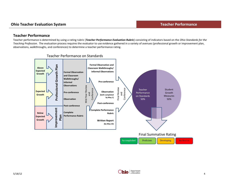### **Teacher Performance**

Teacher performance is determined by using a rating rubric (*Teacher Performance Evaluation Rubric*) consisting of indicators based on the *Ohio Standards for the Teaching Profession*. The evaluation process requires the evaluator to use evidence gathered in a variety of avenues (professional growth or improvement plan,<br>observations, walkthroughs, and conferences) to determine a te



#### Teacher Performance on Standards

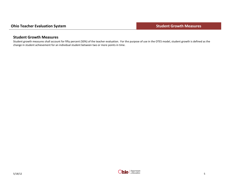# **Student Growth Measures**

Student growth measures shall account for fifty percent (50%) of the teacher evaluation. For the purpose of use in the OTES model, student growth is defined as the change in student achievement for an individual student between two or more points in time.

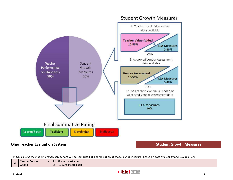

# **Student Growth Measures**

In Ohio's LEAs the student growth component will be comprised of a combination of the following measures based on data availability and LEA decisions.

|                | Teacher Value- | MUST use if available |
|----------------|----------------|-----------------------|
| $\overline{P}$ | Added          | 10-50% if applicable  |

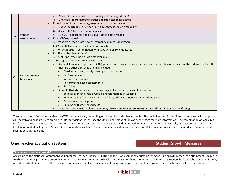|              |                 | Phased-in implementation of reading and math, grades 4-8<br>$\circ$                                                                      |
|--------------|-----------------|------------------------------------------------------------------------------------------------------------------------------------------|
|              |                 | Extended reporting (other grades and subjects) being piloted<br>$\circ$                                                                  |
|              |                 | EVAAS Value-Added metric, aggregated across subject areas<br>$\bullet$                                                                   |
|              |                 | 1-year report; or 2- or 3-year rolling average, based on availability<br>$\circ$                                                         |
|              |                 | MUST use if LEA has assessment in place<br>$\bullet$                                                                                     |
| B            | Vendor          | 10-50% if applicable and no Value-Added data available<br>$\circ$                                                                        |
|              | Assessments     | From ODE-Approved List<br>$\bullet$                                                                                                      |
|              |                 | Vendors demonstrate how assessment can measure growth<br>$\circ$                                                                         |
|              |                 | MAY use: LEA decision (Teacher Groups A & B)                                                                                             |
|              |                 | 0-40% if used in combination with Type One or Two measures<br>$\circ$                                                                    |
|              |                 | MUST use (Teacher Group C)<br>$\bullet$                                                                                                  |
|              |                 | 50% if no Type One or Two data available<br>$\circ$                                                                                      |
|              |                 | Three types of LEA-Determined Measures                                                                                                   |
|              |                 | Student Learning Objectives (SLOs) process for using measures that are specific to relevant subject matter. Measures for SLOs<br>$\circ$ |
|              |                 | must be district-approved and may include:                                                                                               |
|              |                 | District-approved, locally developed assessments<br>$\bullet$                                                                            |
|              | LEA-Determined  | Pre/Post assessments<br>$\bullet$                                                                                                        |
| $\mathsf{C}$ | <b>Measures</b> | Interim assessments<br>$\bullet$                                                                                                         |
|              |                 | Performance-based assessments                                                                                                            |
|              |                 | <b>Portfolios</b><br>$\bullet$                                                                                                           |
|              |                 | Shared attribution measures to encourage collaborative goals and may include:<br>$\circ$                                                 |
|              |                 | Building or District Value-Added is recommended if available<br>$\bullet$                                                                |
|              |                 | Building teams (such as content area) may utilize a composite Value-Added score<br>$\bullet$                                             |
|              |                 | Performance Index gains                                                                                                                  |
|              |                 | <b>Building or District-based SLOs</b>                                                                                                   |
|              |                 | Teacher Group A (with Value-Added) may also use Vendor assessments as a LEA-determined measure if using both<br>$\circ$                  |

The combination of measures within the OTES model will vary depending on the grades and subjects taught. The guidelines and further information given will be updated as research and best practices emerge to inform revisions. Please see the Ohio Department of Education webpage for more information. The combination of measures will fall into three categories: a) Teachers with Value-Added data available; b) Teachers with approved Vendor Assessment data available; c) Teachers with no teacherlevel Value-Added or Approved Vendor Assessment data available. Some combinations of measures, based on LEA decisions, may include a shared attribution measure such as building level data.

### **Ohio Teacher Evaluation System Student Growth Measures**

#### **Why measure student growth?**

According to the National Comprehensive Center for Teacher Quality (NCCTQ), the focus on evaluating educators by measuring growth rather than attainment is fairer to teachers and principals whose students enter classrooms well below grade level. These measures have the potential to inform instruction, build stakeholder commitment, provide a critical dimension to the assessment of teacher effectiveness, and, most important, improve student performance across a broader set of expectations.

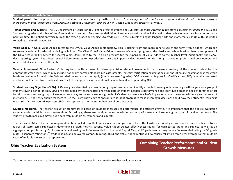#### **Important terms and definitions**

**Student growth**. For the purpose of use in evaluation systems, student growth is defined as "*the change in student achievement for an individual student between two or more points in time" (*excerpted from *Measuring Student Growth for Teachers in Non–Tested Grades and Subjects: A Primer).*

**Tested grades and subjects.** The US Department of Education (ED) defines "tested grades and subjects" *as those covered by the state's assessment under the ESEA* and "non‐tested grades and subjects" *as those without such data*. Because the definition of student growth requires individual student achievement data from two or more points in time, this definition typically limits the tested grades and subjects to grades 4–10 in the subjects of English language arts and mathematics. In Ohio, this is limited to reading and math, grades 4-8.

**Value-Added**. In Ohio, Value-Added refers to the EVAAS Value-Added methodology. This is distinct from the more generic use of the term "value added" which can represent a variety of statistical modeling techniques. The Ohio, EVAAS Value-Added measure of student progress at the district and school level has been a component of the Ohio Accountability system for several years. Ohio's Race to the Top plan provides for the expansion of Value-Added to the Teacher-level. Additionally, the EVAAS data reporting system has added several helpful features to help educators use this important data. Battelle for Kids (BFK) is providing professional development and other related services across the state.

**Vendor Assessment**. Ohio Revised Code requires the Department to "develop a list of student assessments that measure mastery of the course content for the appropriate grade level, which may include nationally normed standardized assessments, industry certification examinations, or end-of-course examinations" for grade levels and subjects for which the Value-Added measure does not apply (the "non-tested" grades). ODE released a Request for Qualifications (RFQ) whereby interested vendors could demonstrate qualifications. The List of approved assessments will be maintained and updated by ODE.

**Student Learning Objectives (SLOs).** SLOs are goals identified by a teacher or group of teachers that identify expected learning outcomes or growth targets for a group of students over a period of time. SLOs are determined by teachers after analyzing data on student academic performance and identifying areas in need of targeted effort for all students and subgroups of students. As a way to measure student growth, SLOs demonstrate a teacher's impact on student learning within a given interval of instruction. Further, they enable teachers to use their own knowledge of appropriate student progress to make meaningful decisions about how their students' learning is measured. As a collaborative process, SLOs also support teacher teams in their use of best practices.

**Multiple measures.** The teacher evaluation framework is based on multiple measures of performance and student growth. It is important that the holistic evaluation rating consider multiple factors across time. Accordingly, there are multiple measures within teacher performance and student growth, within and across years. The student growth measures may include data from multiple assessments and subjects.

Teacher Value-Added, by methodological definition, includes multiple measures on multiple levels. First, the EVAAS methodology incorporates students' test histories (across all state-tested subjects) in determining growth metrics. Second, Value-Added creates effectiveness ratings for each tested grade and subject, as well as an aggregate composite rating. So for example and analogous to Value-Added on the Local Report Card, a  $5<sup>th</sup>$  grade teacher may have a Value-Added rating for  $5<sup>th</sup>$  grade math, a separate rating for 5<sup>th</sup> grade reading, and an overall composite rating. Third, the Value-Added metric will eventually roll into a three-year average so that multiple years of multiple measures are represented.

**Ohio Teacher Evaluation System <b>by Combining Teacher Performance and Student Combining Teacher Performance and Student Growth Measures**

Teacher performance and student growth measures are combined in a summative teacher evaluation rating:

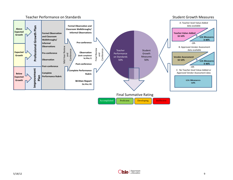

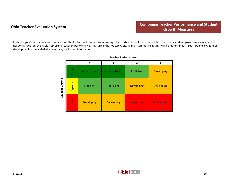Each category's sub-scores are combined on the lookup table to determine rating. The vertical axis of the lookup table represents student growth measures, and the horizontal axis on the table represents teacher performance. By using the lookup table, a final summative rating will be determined. See Appendix C (under development, to be added at a later date) for further information.

|                |          | 4                 | 3                 | $\overline{2}$    | 1                  |
|----------------|----------|-------------------|-------------------|-------------------|--------------------|
|                | Above    | Accomplished      | Accomplished      | Proficient        | <b>Developing</b>  |
| Student Growth | Expected | Proficient        | Proficient        | <b>Developing</b> | <b>Developing</b>  |
|                | Below    | <b>Developing</b> | <b>Developing</b> | Ineffective       | <b>Ineffective</b> |

**Teacher Performance**

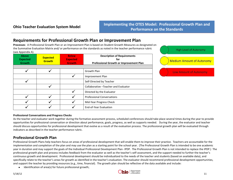# **Requirements for Professional Growth Plan or Improvement Plan**

**Processes**: A Professional Growth Plan or an Improvement Plan is based on Student Growth Measures as designated on the Summative Evaluation Matrix and/ or performance on the standards as noted in the teacher performance rubric (see Appendix A).

| <b>Above</b><br><b>Expected</b><br><b>Growth</b> | <b>Expected</b><br><b>Growth</b> | <b>Below</b><br><b>Expected</b><br><b>Growth</b> | <b>Description of Requirements</b><br>for<br>Professional Growth or Improvement Plan |  |
|--------------------------------------------------|----------------------------------|--------------------------------------------------|--------------------------------------------------------------------------------------|--|
|                                                  |                                  |                                                  |                                                                                      |  |
|                                                  |                                  |                                                  | Growth Plan                                                                          |  |
|                                                  |                                  |                                                  | Improvement Plan                                                                     |  |
|                                                  |                                  |                                                  | Self-Directed by Teacher                                                             |  |
|                                                  |                                  |                                                  | Collaborative - Teacher and Evaluator                                                |  |
|                                                  |                                  |                                                  | Directed by the Evaluator                                                            |  |
|                                                  |                                  |                                                  | <b>Professional Conversations</b>                                                    |  |
|                                                  |                                  |                                                  | Mid-Year Progress Check                                                              |  |
|                                                  |                                  |                                                  | End-of-Year Evaluation                                                               |  |



#### **Professional Conversations and Progress Checks**

As the teacher and evaluator work together during the formative assessment process, scheduled conferences should take place several times during the year to provide opportunities for professional conversation or direction about performance, goals, progress, as well as supports needed. During the year, the evaluator and teacher should discuss opportunities for professional development that evolve as a result of the evaluation process. The professional growth plan will be evaluated through indicators as described in the teacher performance rubric.

# **Professional Growth Plan**

Professional Growth Plans help teachers focus on areas of professional development that will enable them to improve their practice. Teachers are accountable for the implementation and completion of the plan and may use the plan as a starting point for the school year. (The Professional Growth Plan is intended to be one academic year in duration and may support the goals of the Individual Professional Development Plan- IPDP. The Professional Growth Plan is not intended to replace the IPDP.) The professional growth plan and process includes feedback from the evaluator as well as the teacher's self-assessment, and the support needed to further the teacher's continuous growth and development. Professional development should be individualized to the needs of the teacher and students (based on available data), and specifically relate to the teacher's areas for growth as identified in the teacher's evaluation. The evaluator should recommend professional development opportunities, and support the teacher by providing resources (e.g., time, financial). The growth plan should be reflective of the data available and include:

Identification of area(s) for future professional growth; $\bullet$ 

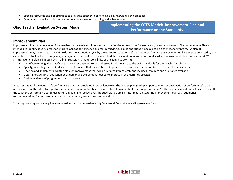- Specific resources and opportunities to assist the teacher in enhancing skills, knowledge and practice;  $\bullet$
- Outcomes that will enable the teacher to increase student learning and achievement.

# **Ohio Teacher Evaluation System Model**

**Implementing the OTES Model: Improvement Plan and Performance on the Standards**

### **Improvement Plan**

Improvement Plans are developed for a teacher by the evaluator in response to ineffective ratings in performance and/or student growth. The Improvement Plan is intended to identify specific areas for improvement of performance and for identifying guidance and support needed to help the teacher improve. [A plan of improvement may be initiated at any time during the evaluation cycle by the evaluator based on deficiencies in performance as documented by evidence collected by the evaluator.] District collective bargaining unit agreements should be consulted to determine additional conditions under which improvement plans are instituted. When an improvement plan is initiated by an administrator, it is the responsibility of the administrator to:

- Identify, in writing, the specific area(s) for improvement to be addressed in relationship to the Ohio Standards for the Teaching Profession;  $\bullet$
- Specify, in writing, the desired level of performance that is expected to improve and a reasonable period of time to correct the deficiencies;  $\bullet$
- Develop and implement a written plan for improvement that will be initiated immediately and includes resources and assistance available;  $\bullet$
- Determine additional education or professional development needed to improve in the identified area(s);  $\bullet$
- Gather evidence of progress or lack of progress.  $\bullet$

A reassessment of the educator's performance shall be completed in accordance with the written plan (multiple opportunities for observation of performance). Upon reassessment of the educator's performance, if improvement has been documented at an acceptable level of performance\*\*, the regular evaluation cycle will resume. If the teacher's performance continues to remain at an ineffective level, the supervising administrator may reinstate the improvement plan with additional recommendations for improvement or take the necessary steps to recommend dismissal.

\*Local negotiated agreement requirements should be consulted when developing Professional Growth Plans and Improvement Plans.

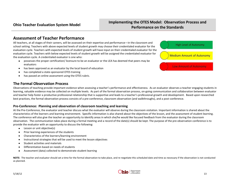# **Implementing the OTES Model: Observation Process and Performance on the Standards**

# **Assessment of Teacher Performance**

All teachers, at all stages of their careers, will be assessed on their expertise and performance—in the classroom and school setting. Teachers with above expected levels of student growth may choose their credentialed evaluator for the evaluation cycle. Teachers with expected levels of student growth will have input on their credentialed evaluator for the evaluation cycle. Teachers with below expected levels of student growth will be assigned the credentialed evaluator for the evaluation cycle. A credentialed evaluator is one who:

- possesses the proper certification/ licensure to be an evaluator or the LEA has deemed that peers may be  $\bullet$ evaluators
- has been approved as an evaluator by the local board of education  $\bullet$
- has completed a state-sponsored OTES training  $\bullet$
- has passed an online assessment using the OTES rubric.  $\bullet$

### **The Formal Observation Process**

Observations of teaching provide important evidence when assessing a teacher's performance and effectiveness. As an evaluator observes a teacher engaging students in learning, valuable evidence may be collected on multiple levels. As part of the formal observation process, on-going communication and collaboration between evaluator and teacher help foster a productive professional relationship that is supportive and leads to a teacher's professional growth and development. Based upon researched best practices, the formal observation process consists of a pre-conference, classroom observation (and walkthroughs), and a post-conference.

#### **Pre-Conference: Planning and observation of classroom teaching and learning**

At the Pre-Conference, the evaluator and teacher discuss what the evaluator will observe during the classroom visitation. Important information is shared about the characteristics of the learners and learning environment. Specific information is also shared about the objectives of the lesson, and the assessment of student learning. The conference will also give the teacher an opportunity to identify areas in which she/he would like focused feedback from the evaluator during the classroom observation. The communication takes place during a formal meeting and a record of the date(s) should be kept. The purpose of the pre-observation conference is to provide the evaluator with an opportunity to discuss the following:

- Lesson or unit objective(s)  $\bullet$
- Prior learning experiences of the students  $\bullet$
- Characteristics of the learners/learning environment  $\bullet$
- Instructional strategies that will be used to meet the lesson objectives  $\bullet$
- Student activities and materials  $\bullet$
- Differentiation based on needs of students  $\bullet$
- Assessment (data) collected to demonstrate student learning  $\bullet$

**NOTE:** The teacher and evaluator should set a time for the formal observation to take place, and re-negotiate this scheduled date and time as necessary if the observation is not conducted as planned.



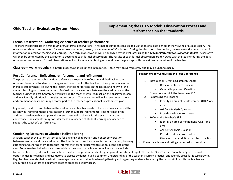# **Implementing the OTES Model: Observation Process and Performance on the Standards**

#### **Formal Observation: Gathering evidence of teacher performance**

Teachers will participate in a minimum of two formal observations. A formal observation consists of a visitation of a class period or the viewing of a class lesson. The observation should be conducted for an entire class period, lesson, or a minimum of 30 minutes. During the classroom observation, the evaluator documents specific information related to teaching and learning.Each formal observation will be analyzed by the evaluator using the *Teacher Performance Evaluation Rubric.* A narrative will then be completed by the evaluator to document each formal observation. The results of each formal observation are reviewed with the teacher during the postobservation conference. Formal observations will not include videotaping or sound recordings except with the written permission of the teacher.

**Classroom walkthroughs** are informal observations less than 30 minutes. These may occur frequently and may be unannounced.

#### **Post-Conference: Reflection, reinforcement, and refinement**

The purpose of the post-observation conference is to provide reflection and feedback on the observed lesson and to identify strategies and resources for the teacher to incorporate in lessons to increase effectiveness. Following the lesson, the teacher reflects on the lesson and how well the student learning outcomes were met. Professional conversations between the evaluator and the teacher during the Post-Conference will provide the teacher with feedback on the observed lesson, and may identify additional strategies and resources.The evaluator will make recommendations and commendations which may become part of the teacher's professional development plan.

In general, the discussion between the evaluator and teacher needs to focus on how successful the lesson was (reinforcement), areas needing further support (refinement). Teachers may bring additional evidence that supports the lesson observed to share with the evaluator at the conference. The evaluator may consider these as evidence of student learning or evidence to support the teacher's performance.

#### **Combining Measures to Obtain a Holistic Rating**

A strong teacher evaluation system calls for ongoing collaboration and honest conversation between teachers and their evaluators. The foundation of such a system is the transparent, two-way gathering and sharing of evidence that informs the teacher performance ratings at the end of the year. Some teacher behaviors are observable in the classroom while other evidence may include

#### **Suggestions for Conducting the Post-Conference**

- 1. Introduction/Greeting/Establish Length
	- Review Conference Process
	- General Impression Question
	- "How do you think the lesson went?"
- 2. Reinforcing the Teacher
	- Identify an area of Reinforcement (ONLY one area)
	- Ask Self-Analysis Question
	- Provide evidence from notes
- 3. Refining the Teacher's Skill:
	- Identify an area of Refinement (ONLY one area)
	- Ask Self-Analysis Question
	- Provide evidence from notes
	- Give a recommendation for future practice
- 4. Present evidence and rating connected to the rubric

formal conferences, informal conversations, evidence of practice, and colleague, parent and student input. The model Ohio Teacher Evaluation System describes opportunities for teachers and evaluators to discuss evidence, build a common understanding of the teacher's current practice, and identify areas for future growth. Regular check-ins also help evaluators manage the administrative burden of gathering and organizing evidence by sharing the responsibility with the teacher and encouraging evaluators to document teacher practices as they occur.

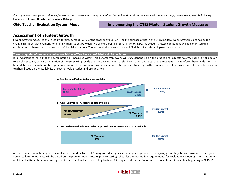*For suggested step-by-step guidance for evaluators to review and analyze multiple data points that inform teacher performance ratings, please see Appendix B:* **Using Evidence to Inform Holistic Performance Ratings.**

**Ohio Teacher Evaluation System Model Implementing the OTES Model: Student Growth Measures**

# **Assessment of Student Growth**

Student growth measures shall account for fifty percent (50%) of the teacher evaluation. For the purpose of use in the OTES model, student growth is defined as the change in student achievement for an individual student between two or more points in time. In Ohio's LEAs the student growth component will be comprised of a combination of two or more measures of Value-Added scores, Vendor-created assessments, and LEA determined student growth measures.

#### **Three categories of teachers based on availability of Teacher Value-Added and LEA decisions**

It is important to note that the combination of measures within this general framework will vary depending on the grades and subjects taught. There is not enough research yet to say which combination of measures will provide the most accurate and useful information about teacher effectiveness. Therefore, these guidelines shall be updated as research and best practices emerge to inform revisions. Subsequently, the specific student growth components will be divided into three categories for teachers based on the availability of Teacher Value-Added and LEA decisions:



As the teacher evaluation system is implemented and matures, LEAs may consider a phased-in, stepped approach in designing percentage breakdowns within categories. Some student growth data will be based on the previous year's results (due to testing schedules and evaluation requirements for evaluation schedule). The Value-Added metric will utilize a three-year average, which will itself mature on a rolling basis as LEAs implement teacher Value-Added on a phased-in schedule beginning in 2010-11.

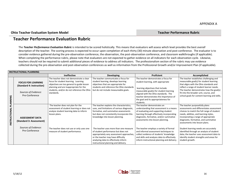#### **Ohio Teacher Evaluation System Model Contract Contract Contract Contract Contract Contract Contract Contract Contract Contract Contract Contract Contract Contract Contract Contract Contract Contract Contract Contract Cont**

# **Teacher Performance Evaluation Rubric**

The *Teacher Performance Evaluation Rubric* is intended to be scored holistically. This means that evaluators will assess which level provides the best *overall*  description of the teacher. The scoring process is expected to occur upon completion of each thirty (30) minute observation and post-conference. The evaluator is to consider evidence gathered during the pre-observation conference, the observation, the post-observation conference, and classroom walkthroughs (if applicable). When completing the performance rubric, please note that evaluators are not expected to gather evidence on all indicators for each observation cycle. Likewise, teachers should not be required to submit additional pieces of evidence to address all indicators. The professionalism section of the rubric may use evidence collected during the pre-observation and post-observation conferences as well as information from the Professional Growth and/or Improvement Plan (if applicable).

|               | <b>INSTRUCTIONAL PLANNING</b>                                                                    |                                                                                                                                                                                                                                      |                                                                                                                                                                                                                                                                                                                                                                                                                                                                        |                                                                                                                                                                                                                                                                                                                                                                                                                                                                            |                                                                                                                                                                                                                                                                                                                                                                                                                                                                                         |  |  |
|---------------|--------------------------------------------------------------------------------------------------|--------------------------------------------------------------------------------------------------------------------------------------------------------------------------------------------------------------------------------------|------------------------------------------------------------------------------------------------------------------------------------------------------------------------------------------------------------------------------------------------------------------------------------------------------------------------------------------------------------------------------------------------------------------------------------------------------------------------|----------------------------------------------------------------------------------------------------------------------------------------------------------------------------------------------------------------------------------------------------------------------------------------------------------------------------------------------------------------------------------------------------------------------------------------------------------------------------|-----------------------------------------------------------------------------------------------------------------------------------------------------------------------------------------------------------------------------------------------------------------------------------------------------------------------------------------------------------------------------------------------------------------------------------------------------------------------------------------|--|--|
|               |                                                                                                  | <b>Ineffective</b>                                                                                                                                                                                                                   | <b>Developing</b>                                                                                                                                                                                                                                                                                                                                                                                                                                                      | <b>Proficient</b>                                                                                                                                                                                                                                                                                                                                                                                                                                                          | Accomplished                                                                                                                                                                                                                                                                                                                                                                                                                                                                            |  |  |
| PLANNING      | <b>FOCUS FOR LEARNING</b><br>(Standard 4: Instruction)<br>Sources of Evidence:<br>Pre-Conference | The teacher does not demonstrate a clear<br>focus for student learning. Learning<br>objectives are too general to guide lesson<br>planning and are inappropriate for the<br>students, and/or do not reference the Ohio<br>standards. | The teacher communicates a focus for<br>student learning, develops learning<br>objectives that are appropriate for<br>students and reference the Ohio standards<br>but do not include measureable goals.                                                                                                                                                                                                                                                               | The teacher demonstrates a focus for<br>student learning, with appropriate<br>learning objectives that include<br>measurable goal(s) for student learning<br>aligned with the Ohio standards. The<br>teacher demonstrates the importance of<br>the goal and its appropriateness for<br>students.                                                                                                                                                                           | The teacher establishes challenging and<br>measurable goal(s) for student learning<br>that aligns with the Ohio standards and<br>reflect a range of student learner needs.<br>The teacher demonstrates how the goal(s)<br>fit into the broader unit, course, and<br>school goals for content learning and skills.                                                                                                                                                                       |  |  |
| INSTRUCTIONAL | <b>ASSESSMENT DATA</b><br>(Standard 3: Assessment)<br>Sources of Evidence:<br>Pre-Conference     | The teacher does not plan for the<br>assessment of student learning or does not<br>analyze student learning data to inform<br>lesson plans.<br>The teacher does not use or only uses one<br>measure of student performance.          | The teacher explains the characteristics,<br>uses, and limitations of various diagnostic,<br>formative, and summative assessments<br>but does not consistently incorporate this<br>knowledge into lesson planning.<br>The teacher uses more than one measure<br>of student performance but does not<br>appropriately vary assessment approaches,<br>or the teacher may have difficulty<br>analyzing data to effectively inform<br>instructional planning and delivery. | The teacher demonstrates an<br>understanding that assessment is a means<br>of evaluating and supporting student<br>learning through effectively incorporating<br>diagnostic, formative, and/or summative<br>assessments into lesson planning.<br>The teacher employs a variety of formal<br>and informal assessment techniques to<br>collect evidence of students' knowledge<br>and skills and analyzes data to effectively<br>inform instructional planning and delivery. | The teacher purposefully plans<br>assessments and differentiates assessment<br>choices to match the full range of student<br>needs, abilities, and learning styles,<br>incorporating a range of appropriate<br>diagnostic, formative, and summative<br>assessments into lesson plans.<br>Student learning needs are accurately<br>identified through an analysis of student<br>data; the teacher uses assessment data to<br>identify student strengths and areas for<br>student growth. |  |  |

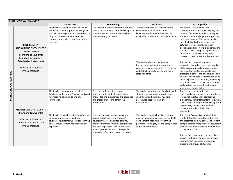|                        | <b>INSTRUCTIONAL PLANNING</b>                                                                                                        |                                                                                                                                                                                                                                       |                                                                                                                                                                                                                                                                                                         |                                                                                                                                                                                                      |                                                                                                                                                                                                                                                                                                                                                                                                                                                                          |  |  |
|------------------------|--------------------------------------------------------------------------------------------------------------------------------------|---------------------------------------------------------------------------------------------------------------------------------------------------------------------------------------------------------------------------------------|---------------------------------------------------------------------------------------------------------------------------------------------------------------------------------------------------------------------------------------------------------------------------------------------------------|------------------------------------------------------------------------------------------------------------------------------------------------------------------------------------------------------|--------------------------------------------------------------------------------------------------------------------------------------------------------------------------------------------------------------------------------------------------------------------------------------------------------------------------------------------------------------------------------------------------------------------------------------------------------------------------|--|--|
|                        |                                                                                                                                      | <b>Ineffective</b>                                                                                                                                                                                                                    | <b>Developing</b>                                                                                                                                                                                                                                                                                       | Proficient                                                                                                                                                                                           | Accomplished                                                                                                                                                                                                                                                                                                                                                                                                                                                             |  |  |
|                        | <b>PRIOR CONTENT</b><br><b>KNOWLEDGE / SEQUENCE /</b><br><b>CONNECTIONS</b><br>(Standard 1: Students;<br><b>Standard 2: Content;</b> | The teacher's lesson does not build on or<br>connect to students' prior knowledge, or<br>the teacher may give an explanation that is<br>illogical or inaccurate as to how the<br>content connects to previous and future<br>learning. | The teacher makes an attempt to connect<br>the lesson to students' prior knowledge, to<br>previous lessons or future learning but is<br>not completely successful.                                                                                                                                      | The teacher makes clear and coherent<br>connections with students' prior<br>knowledge and future learning-both<br>explicitly to students and within the lesson.                                      | The teacher uses the input and<br>contributions of families, colleagues, and<br>other professionals in understanding each<br>learner's prior knowledge and supporting<br>their development. The teacher makes<br>meaningful and relevant connections<br>between lesson content and other<br>disciplines and real-world experiences and<br>careers as well as prepares opportunities<br>for students to apply learning from<br>different content areas to solve problems. |  |  |
| INSTRUCTIONAL PLANNING | <b>Standard 4: Instruction)</b><br>Sources of Evidence:<br>Pre-Conference                                                            |                                                                                                                                                                                                                                       |                                                                                                                                                                                                                                                                                                         | The teacher plans and sequences<br>instruction to include the important<br>content, concepts, and processes in school<br>and district curriculum priorities and in<br>state standards.               | The teacher plans and sequences<br>instruction that reflects an understanding<br>of the prerequisite relationships among<br>the important content, concepts, and<br>processes in school and district curriculum<br>priorities and in state standards as well as<br>multiple pathways for learning depending<br>on student needs. The teacher accurately<br>explains how the lesson fits within the<br>structure of the discipline.                                       |  |  |
|                        | <b>KNOWLEDGE OF STUDENTS</b>                                                                                                         | The teacher demonstrates a lack of<br>familiarity with students' backgrounds and<br>has made no attempts to find this<br>information.                                                                                                 | The teacher demonstrates some<br>familiarity with students' background<br>knowledge and experiences and describes<br>one procedure used to obtain this<br>information.                                                                                                                                  | The teacher demonstrates familiarity with<br>students' background knowledge and<br>experiences and describes multiple<br>procedures used to obtain this<br>information.                              | The teacher demonstrates an<br>understanding of the purpose and value of<br>learning about students' background<br>experiences, demonstrates familiarity with<br>each student's background knowledge and<br>experiences, and describes multiple<br>procedures used to obtain this<br>information.                                                                                                                                                                        |  |  |
|                        | (Standard 1: Students)<br>Sources of Evidence:<br>Analysis of Student Data<br>Pre-Conference                                         | The teacher's plan for instruction does not<br>demonstrate an understanding of<br>students' development, preferred learning<br>styles, and/or student backgrounds/prior<br>experiences.                                               | The teacher's instructional plan draws<br>upon a partial analysis of students'<br>development, readiness for learning,<br>preferred learning styles, or backgrounds<br>and prior experiences and/or the plan is<br>inappropriately tailored to the specific<br>population of students in the classroom. | The teacher's instructional plan draws<br>upon an accurate analysis of the students'<br>development, readiness for learning,<br>preferred learning styles, and backgrounds<br>and prior experiences. | The teacher's analysis of student data<br>(student development, student learning<br>and preferred learning styles, and student<br>backgrounds/prior experiences) accurately<br>connects the data to specific instructional<br>strategies and plans.<br>The teacher plans for and can articulate<br>specific strategies, content, and delivery<br>that will meet the needs of individual<br>students and groups of students.                                              |  |  |

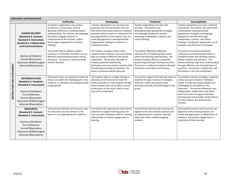|                            | <b>Instruction and Assessment</b>                                                                                                                                                                              |                                                                                                                                                                                                                                                                                                       |                                                                                                                                                                                                                                                                                                                                          |                                                                                                                                                                                                                                                                                                     |                                                                                                                                                                                                                                                                                                                                                                                                    |  |  |
|----------------------------|----------------------------------------------------------------------------------------------------------------------------------------------------------------------------------------------------------------|-------------------------------------------------------------------------------------------------------------------------------------------------------------------------------------------------------------------------------------------------------------------------------------------------------|------------------------------------------------------------------------------------------------------------------------------------------------------------------------------------------------------------------------------------------------------------------------------------------------------------------------------------------|-----------------------------------------------------------------------------------------------------------------------------------------------------------------------------------------------------------------------------------------------------------------------------------------------------|----------------------------------------------------------------------------------------------------------------------------------------------------------------------------------------------------------------------------------------------------------------------------------------------------------------------------------------------------------------------------------------------------|--|--|
|                            |                                                                                                                                                                                                                | <b>Ineffective</b>                                                                                                                                                                                                                                                                                    | <b>Developing</b>                                                                                                                                                                                                                                                                                                                        | Proficient                                                                                                                                                                                                                                                                                          | Accomplished                                                                                                                                                                                                                                                                                                                                                                                       |  |  |
| INSTRUCTION AND ASSESSMENT | <b>LESSON DELIVERY</b><br>(Standard 2: Content;<br><b>Standard 4: Instruction;</b><br><b>Standard 6: Collaboration</b><br>and Communication)                                                                   | A teacher's explanations are unclear,<br>incoherent, or inaccurate, and are<br>generally ineffective in building student<br>understanding. The teacher uses language<br>that fails to engage students, is<br>inappropriate to the content, and/or<br>discourages independent or creative<br>thinking. | Teacher explanations are accurate and<br>generally clear but the teacher may not<br>fully clarify information based on students<br>questions about content or instructions for<br>learning activities or the teacher may use<br>some language that is developmentally<br>inappropriate, leading to confusion or<br>limiting discussion.  | Teacher explanations are clear and<br>accurate. The teacher uses<br>developmentally appropriate strategies<br>and language designed to actively<br>encourage independent, creative, and<br>critical thinking.                                                                                       | Teacher explanations are clear, coherent,<br>and precise. The teacher uses well-timed,<br>individualized, developmentally<br>appropriate strategies and language<br>designed to actively encourage<br>independent, creative, and critical<br>thinking, including the appropriate use of<br>questions and discussion techniques.                                                                    |  |  |
|                            | Sources of Evidence:<br><b>Formal Observation</b><br>Classroom Walkthroughs/<br><b>Informal Observations</b>                                                                                                   | The teacher fails to address student<br>confusion or frustration and does not use<br>effective questioning techniques during<br>the lesson. The lesson is almost entirely<br>teacher-directed.                                                                                                        | The teacher re-explains topics when<br>students show confusion, but is not always<br>able to provide an effective alternative<br>explanation. The teacher attempts to<br>employ purposeful questioning<br>techniques, but may confuse students with<br>the phrasing or timing of questions. The<br>lesson is primarily teacher-directed. | The teacher effectively addresses<br>confusion by re-explaining topics when<br>asked and ensuring understanding. The<br>teacher employs effective, purposeful<br>questioning techniques during instruction.<br>The lesson is a balance of teacher-directed<br>instruction and student-led learning. | The teacher accurately anticipates<br>confusion by presenting information in<br>multiple formats and clarifying content<br>before students ask questions. The<br>teacher develops high-level understanding<br>through effective uses of varied levels of<br>questions. The lesson is student-led, with<br>the teacher in the role of facilitator.                                                  |  |  |
|                            | <b>DIFFERENTIATION</b><br>(Standard 1: Students;<br><b>Standard 4: Instruction)</b><br>Sources of Evidence:<br>Pre-Conference<br><b>Formal Observation</b><br>Classroom Walkthroughs/<br>Informal Observations | The teacher does not attempt to make the<br>lesson accessible and challenging for most<br>students, or attempts are developmentally<br>inappropriate.                                                                                                                                                 | The teacher relies on a single strategy or<br>alternate set of materials to make the<br>lesson accessible to most students though<br>some students may not be able to access<br>certain parts of the lesson and/or some<br>may not be challenged.                                                                                        | The teacher supports the learning needs of<br>students through a variety of strategies,<br>materials, and/or pacing that make<br>learning accessible and challenging for the<br>group                                                                                                               | The teacher matches strategies, materials,<br>and/or pacing to students' individual<br>needs, to make learning accessible and<br>challenging for all students in the<br>classroom. The teacher effectively uses<br>independent, collaborative and whole-<br>class instruction to support individual<br>learning goals and provides varied options<br>for how students will demonstrate<br>mastery. |  |  |
|                            | <b>RESOURCES</b><br>(Standard 2: Content;<br><b>Standard 4: Instruction)</b><br>Sources of Evidence:<br>Pre-Conference<br><b>Formal Observation</b><br>Classroom Walkthroughs/<br><b>Informal Observations</b> | Instructional materials and resources used<br>for instruction are not relevant to the<br>lesson or are inappropriate for students.                                                                                                                                                                    | The teacher uses appropriate instructional<br>materials to support learning goals, but<br>may not meet individual students' learning<br>styles/needs or actively engage them in<br>learning.                                                                                                                                             | Instructional materials and resources are<br>aligned to the instructional purposes and<br>are appropriate for students' learning<br>styles and needs, actively engaging<br>students.                                                                                                                | Instructional materials and resources are<br>aligned to instructional purposes, are<br>varied and appropriate to ability levels of<br>students, and actively engage them in<br>ownership of their learning.                                                                                                                                                                                        |  |  |

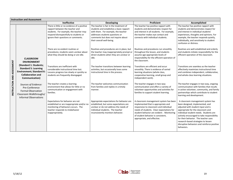|                            | <b>Instruction and Assessment</b>                                                                                                       |                                                                                                                                                                                                            |                                                                                                                                                                                                                                   |                                                                                                                                                                                                                                                                                       |                                                                                                                                                                                                                                                                                                                                                                                     |  |  |
|----------------------------|-----------------------------------------------------------------------------------------------------------------------------------------|------------------------------------------------------------------------------------------------------------------------------------------------------------------------------------------------------------|-----------------------------------------------------------------------------------------------------------------------------------------------------------------------------------------------------------------------------------|---------------------------------------------------------------------------------------------------------------------------------------------------------------------------------------------------------------------------------------------------------------------------------------|-------------------------------------------------------------------------------------------------------------------------------------------------------------------------------------------------------------------------------------------------------------------------------------------------------------------------------------------------------------------------------------|--|--|
|                            |                                                                                                                                         | <b>Ineffective</b>                                                                                                                                                                                         | <b>Developing</b>                                                                                                                                                                                                                 | Proficient                                                                                                                                                                                                                                                                            | Accomplished                                                                                                                                                                                                                                                                                                                                                                        |  |  |
|                            |                                                                                                                                         | There is little or no evidence of a positive<br>rapport between the teacher and<br>students. For example, the teacher may<br>respond disrespectfully to students or<br>ignore their questions or comments. | The teacher is fair in the treatment of<br>students and establishes a basic rapport<br>with them. For example, the teacher<br>addresses students questions or<br>comments but does not inquire about<br>their overall well-being. | The teacher has positive rapport with<br>students and demonstrates respect for<br>and interest in all students. For example,<br>the teacher makes eye contact and<br>connects with individual students.                                                                               | The teacher has positive rapport with<br>students and demonstrates respect for<br>and interest in individual students'<br>experiences, thoughts and opinions. For<br>example, the teacher responds quietly,<br>individually, and sensitively to student<br>confusion or distress.                                                                                                   |  |  |
|                            | <b>CLASSROOM</b><br><b>ENVIRONMENT</b>                                                                                                  | There are no evident routines or<br>procedures; students seem unclear about<br>what they should be doing or are idle.                                                                                      | Routines and procedures are in place, but<br>the teacher may inappropriately prompt or<br>direct students when they are unclear or<br>idle.                                                                                       | Routines and procedures run smoothly<br>throughout the lesson, and students<br>assume age-appropriate levels of<br>responsibility for the efficient operation of<br>the classroom.                                                                                                    | Routines are well-established and orderly<br>and students initiate responsibility for the<br>efficient operation of the classroom.                                                                                                                                                                                                                                                  |  |  |
| INSTRUCTION AND ASSESSMENT | (Standard 1: Students;<br><b>Standard 5: Learning</b><br><b>Environment</b> ; Standard 6:<br><b>Collaboration and</b><br>Communication) | Transitions are inefficient with<br>considerable instructional time lost.<br>Lessons progress too slowly or quickly so<br>students are frequently disengaged.                                              | The teacher transitions between learning<br>activities, but occasionally loses some<br>instructional time in the process.                                                                                                         | Transitions are efficient and occur<br>smoothly. There is evidence of varied<br>learning situations (whole class,<br>cooperative learning, small group and<br>independent work).                                                                                                      | Transitions are seamless as the teacher<br>effectively maximizes instructional time<br>and combines independent, collaborative,<br>and whole-class learning situations.                                                                                                                                                                                                             |  |  |
|                            | Sources of Evidence:<br>Pre-Conference<br><b>Formal Observation</b><br>Classroom Walkthroughs/<br><b>Informal Observations</b>          | The teacher creates a learning<br>environment that allows for little or no<br>communication or engagement with<br>families.                                                                                | The teacher welcomes communication<br>from families and replies in a timely<br>manner.                                                                                                                                            | The teacher engages in two-way<br>communication and offers a variety of<br>volunteer opportunities and activities for<br>families to support student learning.                                                                                                                        | The teacher engages in two-way, ongoing<br>communication with families that results<br>in active volunteer, community, and family<br>partnerships which contribute to student<br>learning and development.                                                                                                                                                                          |  |  |
|                            |                                                                                                                                         | Expectations for behavior are not<br>established or are inappropriate and/or no<br>monitoring of behaviors occurs. The<br>teacher responds to misbehavior<br>inappropriately.                              | Appropriate expectations for behavior are<br>established, but some expectations are<br>unclear or do not address the needs of<br>individual students. The teacher<br>inconsistently monitors behavior.                            | A classroom management system has been<br>implemented that is appropriate and<br>responsive to classroom and individual<br>needs of students. Clear expectations for<br>student behavior are evident. Monitoring<br>of student behavior is consistent,<br>appropriate, and effective. | A classroom management system has<br>been designed, implemented, and<br>adjusted with student input and is<br>appropriate for the classroom and<br>individual student needs. Students are<br>actively encouraged to take responsibility<br>for their behavior. The teacher uses<br>research-based strategies to lessen<br>disruptive behaviors and reinforce positive<br>behaviors. |  |  |

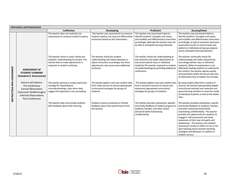|                            | <b>Instruction and Assessment</b>                                                                                                                 |                                                                                                                                                             |                                                                                                                                                                          |                                                                                                                                                                                                                                        |                                                                                                                                                                                                                                                                                                                                                                                                                                                                                                   |  |
|----------------------------|---------------------------------------------------------------------------------------------------------------------------------------------------|-------------------------------------------------------------------------------------------------------------------------------------------------------------|--------------------------------------------------------------------------------------------------------------------------------------------------------------------------|----------------------------------------------------------------------------------------------------------------------------------------------------------------------------------------------------------------------------------------|---------------------------------------------------------------------------------------------------------------------------------------------------------------------------------------------------------------------------------------------------------------------------------------------------------------------------------------------------------------------------------------------------------------------------------------------------------------------------------------------------|--|
|                            |                                                                                                                                                   | Ineffective                                                                                                                                                 | <b>Developing</b>                                                                                                                                                        | Proficient                                                                                                                                                                                                                             | Accomplished                                                                                                                                                                                                                                                                                                                                                                                                                                                                                      |  |
| INSTRUCTION AND ASSESSMENT |                                                                                                                                                   | The teacher does not routinely use<br>assessments to measure student mastery.                                                                               | The teacher uses assessments to measure<br>student mastery, but may not differentiate<br>instruction based on this information.                                          | The teacher uses assessment data to<br>identify students' strengths and needs,<br>and modifies and differentiates instruction<br>accordingly, although the teacher may not<br>be able to anticipate learning obstacles.                | The teacher uses assessment data to<br>identify students' strengths and needs,<br>and modifies and differentiates instruction<br>accordingly, as well as examines classroom<br>assessment results to reveal trends and<br>patterns in individual and group progress<br>and to anticipate learning obstacles.                                                                                                                                                                                      |  |
|                            | <b>ASSESSMENT OF</b><br><b>STUDENT LEARNING</b><br>(Standard 3: Assessment)                                                                       | The teacher rarely or never checks the<br>students' understanding of content. The<br>teacher fails to make adjustments in<br>response to student confusion. | The teacher checks for student<br>understanding and makes attempts to<br>adjust instruction accordingly, but these<br>adjustments may cause some additional<br>confusion | The teacher checks for understanding at<br>key moments and makes adjustments to<br>instruction (whole-class or individual<br>students). The teacher responds to student<br>misunderstandings by providing additional<br>clarification. | The teacher continually checks for<br>understanding and makes adjustments<br>accordingly (whole-class or individual<br>students). When an explanation is not<br>effectively leading students to understand<br>the content, the teacher adjusts quickly<br>and seamlessly within the lesson and uses<br>an alternative way to explain the concept.                                                                                                                                                 |  |
|                            | Sources of Evidence:<br>Pre-Conference<br><b>Formal Observation</b><br>Classroom Walkthroughs/<br><b>Informal Observations</b><br>Post-Conference | The teacher persists in using a particular<br>strategy for responding to<br>misunderstandings, even when data<br>suggest the approach is not succeeding.    | The teacher gathers and uses student data<br>from a few sources to choose appropriate<br>instructional strategies for groups of<br>students.                             | The teacher gathers and uses student data<br>from a variety of sources to choose and<br>implement appropriate instructional<br>strategies for groups of students.                                                                      | By using student data from a variety of<br>sources, the teacher appropriately adapts<br>instructional methods and materials and<br>paces learning activities to meet the needs<br>of individual students as well as the whole<br>class.                                                                                                                                                                                                                                                           |  |
|                            |                                                                                                                                                   | The teacher does not provide students<br>with feedback about their learning.                                                                                | Students receive occasional or limited<br>feedback about their performance from<br>the teacher.                                                                          | The teacher provides substantive, specific,<br>and timely feedback of student progress to<br>students, families, and other school<br>personnel while maintaining<br>confidentiality.                                                   | The teacher provides substantive, specific,<br>and timely feedback to students, families,<br>and other school personnel while<br>maintaining confidentiality. The teacher<br>provides the opportunity for students to<br>engage in self-assessment and show<br>awareness of their own strengths and<br>weaknesses. The teacher uses student<br>assessment results to reflect on his or her<br>own teaching and to monitor teaching<br>strategies and behaviors in relation to<br>student success. |  |

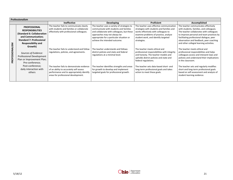|                | <b>Professionalism</b>                                                                                                                                                        |                                                                                                                                                                                  |                                                                                                                                                                                                                                                                                          |                                                                                                                                                                                                                                                               |                                                                                                                                                                                                                                                                                                                                               |  |  |
|----------------|-------------------------------------------------------------------------------------------------------------------------------------------------------------------------------|----------------------------------------------------------------------------------------------------------------------------------------------------------------------------------|------------------------------------------------------------------------------------------------------------------------------------------------------------------------------------------------------------------------------------------------------------------------------------------|---------------------------------------------------------------------------------------------------------------------------------------------------------------------------------------------------------------------------------------------------------------|-----------------------------------------------------------------------------------------------------------------------------------------------------------------------------------------------------------------------------------------------------------------------------------------------------------------------------------------------|--|--|
|                |                                                                                                                                                                               | <b>Ineffective</b>                                                                                                                                                               | <b>Developing</b>                                                                                                                                                                                                                                                                        | Proficient                                                                                                                                                                                                                                                    | Accomplished                                                                                                                                                                                                                                                                                                                                  |  |  |
| SM             | <b>PROFESSIONAL</b><br><b>RESPONSIBILITIES</b><br>(Standard 6: Collaboration<br>and Communication;<br><b>Standard 7: Professional</b><br><b>Responsibility and</b><br>Growth) | The teacher fails to communicate clearly<br>with students and families or collaborate<br>effectively with professional colleagues.<br>The teacher fails to understand and follow | The teacher uses a variety of strategies to<br>communicate with students and families<br>and collaborate with colleagues, but these<br>approaches may not always be<br>appropriate for a particular situation or<br>achieve the intended outcome.<br>The teacher understands and follows | The teacher uses effective communication<br>strategies with students and families and<br>works effectively with colleagues to<br>examine problems of practice, analyze<br>student work, and identify targeted<br>strategies.<br>The teacher meets ethical and | The teacher communicates effectively<br>with students, families, and colleagues.<br>The teacher collaborates with colleagues<br>to improve personal and team practices by<br>facilitating professional dialogue, peer<br>observation and feedback, peer coaching<br>and other collegial learning activities.<br>The teacher meets ethical and |  |  |
| ≸<br>PROFESSIO | Sources of Evidence:<br>Professional Development<br>Plan or Improvement Plan;<br>Pre-conference;                                                                              | regulations, policies, and agreements.                                                                                                                                           | district policies and state and federal<br>regulations at a minimal level.                                                                                                                                                                                                               | professional responsibilities with integrity<br>and honesty. The teacher models and<br>upholds district policies and state and<br>federal regulations.                                                                                                        | professional responsibilities and helps<br>colleagues access and interpret laws and<br>policies and understand their implications<br>in the classroom.                                                                                                                                                                                        |  |  |
|                | Post-conference;<br>daily interaction with<br>others                                                                                                                          | The teacher fails to demonstrate evidence<br>of an ability to accurately self-assess<br>performance and to appropriately identify<br>areas for professional development.         | The teacher identifies strengths and areas<br>for growth to develop and implement<br>targeted goals for professional growth.                                                                                                                                                             | The teacher sets data-based short- and<br>long-term professional goals and takes<br>action to meet these goals.                                                                                                                                               | The teacher sets and regularly modifies<br>short-and long-term professional goals<br>based on self-assessment and analysis of<br>student learning evidence.                                                                                                                                                                                   |  |  |

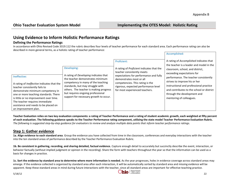Accomplished:

# **Using Evidence to Inform Holistic Performance Ratings**

#### **Defining the Performance Ratings**

In accordance with Ohio Revised Code 3319.112 the rubric describes four levels of teacher performance for each standard area. Each performance rating can also be described in more general terms, as a holistic rating of teacher performance:

**Teacher Evaluation relies on two key evaluation components: a rating of Teacher Performance and a rating of student academic growth, each weighted at fifty percent of each evaluation. The following guidance speaks to the Teacher Performance rating component, utilizing the state model Teacher Performance Evaluation Rubric.** The following is suggested step-by-step guidance for evaluators to review and analyze multiple data points that *inform teacher performance ratings*.

# **Step 1: Gather evidence**

**1a. Align evidence to each standard area**. Group the evidence you have collected from time in the classroom, conferences and everyday interactions with the teacher into the ten standard areas of performance described by the Teacher Performance Evaluation Rubric.

**1b. Be consistent in gathering, recording, and sharing detailed, factual evidence.** Capture enough detail to accurately but succinctly describe the event, interaction, or behavior factually (without implied judgment or opinion in the recording). Share the form with teachers throughout the year so that the information can be used as a basis for changes in practice.

**1c. Sort the evidence by standard area to determine where more information is needed.** As the year progresses, holes in evidence coverage across standard areas may emerge. If the evidence collected is organized by standard area after each interaction, it will be automatically sorted by standard area and missing evidence will be apparent. Keep these standard areas in mind during future interactions with the teacher, since all standard areas are important for effective teaching practice.<br> $\bigcap \mathbf{h}$   $\bigcap$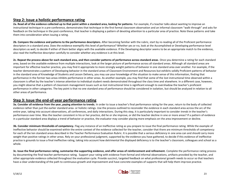# **Step 2: Issue a holistic performance rating**

**2a. Read all of the evidence collected up to that point within a standard area, looking for patterns**. For example, if a teacher talks about wanting to improve an instructional technique in a pre-conference, demonstrates that technique in the first formal classroom observation and an informal classroom "walk-through" and asks for feedback on the technique in the post-conference, that teacher is displaying a pattern of devoting attention to a particular area of practice. Note these patterns and take them into consideration when issuing a rating.

**2b. Compare the evidence and patterns to the performance descriptors.** After becoming familiar with the rubric, start by re-reading all of the Proficient performance descriptors in a standard area. Does the evidence exemplify this level of performance? Whether yes or no, look at the Accomplished or Developing performance level descriptors as well, to decide if either of them better aligns with the available evidence. If the Developing descriptor seems to be an appropriate match to the evidence, also read the Ineffective descriptor carefully to consider whether any evidence is at this level.

**2c. Repeat the process above for each standard area, and then consider patterns of performance across standard areas**. Once you determine a rating for each standard area, based on the available evidence from multiple interactions, look at the larger picture of performance across all standard areas. Although all standard areas are important for effective teacher practice, you may find it appropriate to more strongly weight patterns of behavior in one standard area over another. For example, if the teacher demonstrates a pattern of Developing behavior in the standard areas of Classroom Environment and Resources but exhibits solidly Proficient patterns of behavior in the standard area of Knowledge of Students and Lesson Delivery, you may use your knowledge of the situation to make sense of this information, finding that performance in the former two areas inhibits performance in other areas. As another example, you may find that some of the lost instructional time observed within a classroom is offset by the teacher's intense attention to individual student needs demonstrated throughout the class time and elsewhere. In a different case, however, you might observe that a pattern of classroom management issues such as lost instructional time is significant enough to overshadow the teacher's proficient performance in other categories. The key point is that no one standard area of performance should be considered in isolation, but should be analyzed in relation to all other areas of performance.

### **Step 3: Issue the end-of-year performance rating**

**3a. Consider all evidence from the year, paying attention to trends.** In order to issue a teacher's final performance rating for the year, return to the body of collected evidence rather than just the earlier standard area- or holistic ratings. Use the process outlined to reconsider the evidence in each standard area across the arc of the entire year, taking into account observations, all conferences, and daily interactions. During this step, it is particularly important to consider *trends* in the teacher's performance over time. Was the teacher consistent in his or her practice, did he or she improve, or did the teacher decline in one or more areas? If a pattern of evidence in a particular standard area displays a trend of behavior or practice, the evaluator may consider placing more emphasis on the area improvement or decline.

**3b. Consider minimum thresholds of competency.** Flag any instance of an Ineffective rating as you prepare to issue the final performance rating. While the example of Ineffective behavior should be examined within the entire context of the evidence collected for the teacher, consider that there are minimum thresholds of competency for each of the ten standard areas described in the Teacher Performance Evaluation Rubric. It is possible that a serious deficiency in one area can and should carry more weight than positive ratings in other areas. Rely on your professional judgment, supported by the evidence you have gathered, to decide if this evidence of ineffective practice is grounds to issue a final ineffective rating, taking into account how detrimental the displayed deficiency is to the teacher's classroom, colleagues and school as a whole.

**3c. Issue the final performance rating, summarize the supporting evidence, and offer areas of reinforcement and refinement.** Complete the performance rating process by documenting the final teacher performance rating. Support your rating with evidence from formal and informal observations, artifacts provided by the teacher, and other appropriate evidence collected throughout the evaluation cycle. Provide succinct, targeted feedback on what professional growth needs to occur so that teachers have a clear understanding of the path to continuous growth and improvement and have concrete examples of supports that will help them improve practice.